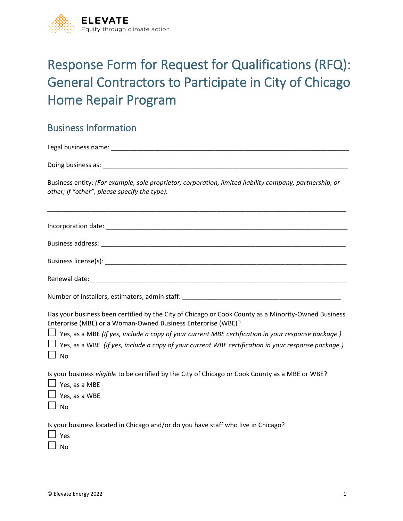

# Response Form for Request for Qualifications (RFQ): General Contractors to Participate in City of Chicago Home Repair Program

### Business Information

Legal business name: \_\_\_\_\_\_\_\_\_\_\_\_\_\_\_\_\_\_\_\_\_\_\_\_\_\_\_\_\_\_\_\_\_\_\_\_\_\_\_\_\_\_\_\_\_\_\_\_\_\_\_\_\_\_\_\_\_\_\_\_\_\_\_\_\_\_

Doing business as: \_\_\_\_\_\_\_\_\_\_\_\_\_\_\_\_\_\_\_\_\_\_\_\_\_\_\_\_\_\_\_\_\_\_\_\_\_\_\_\_\_\_\_\_\_\_\_\_\_\_\_\_\_\_\_\_\_\_\_\_\_\_\_\_\_\_\_\_

Business entity: *(For example, sole proprietor, corporation, limited liability company, partnership, or other; if "other", please specify the type).*

\_\_\_\_\_\_\_\_\_\_\_\_\_\_\_\_\_\_\_\_\_\_\_\_\_\_\_\_\_\_\_\_\_\_\_\_\_\_\_\_\_\_\_\_\_\_\_\_\_\_\_\_\_\_\_\_\_\_\_\_\_\_\_\_\_\_\_\_\_\_\_\_\_\_\_\_\_\_\_\_\_\_\_

| Number of installers, estimators, admin staff: _________________________________                                                                                                                                                                                                 |
|----------------------------------------------------------------------------------------------------------------------------------------------------------------------------------------------------------------------------------------------------------------------------------|
| Has your business been certified by the City of Chicago or Cook County as a Minority-Owned Business<br>Enterprise (MBE) or a Woman-Owned Business Enterprise (WBE)?<br>$\Box$ Yes, as a MBE (If yes, include a copy of your current MBE certification in your response package.) |
| $\Box$ Yes, as a WBE (If yes, include a copy of your current WBE certification in your response package.)<br>$\Box$ No                                                                                                                                                           |
| Is your business <i>eligible</i> to be certified by the City of Chicago or Cook County as a MBE or WBE?<br>$\Box$ Yes, as a MBE<br>$\Box$ Yes, as a WBE<br>$\Box$ No                                                                                                             |
| Is your business located in Chicago and/or do you have staff who live in Chicago?<br>$\perp$ Yes<br>No                                                                                                                                                                           |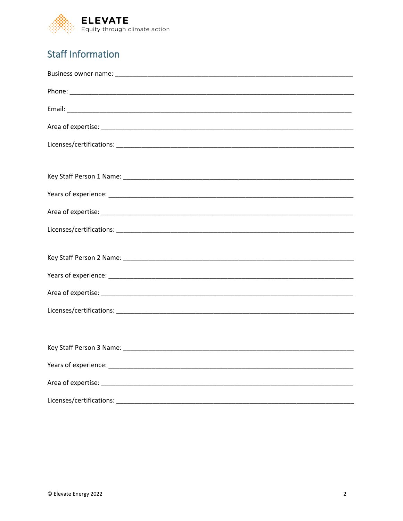

## **Staff Information**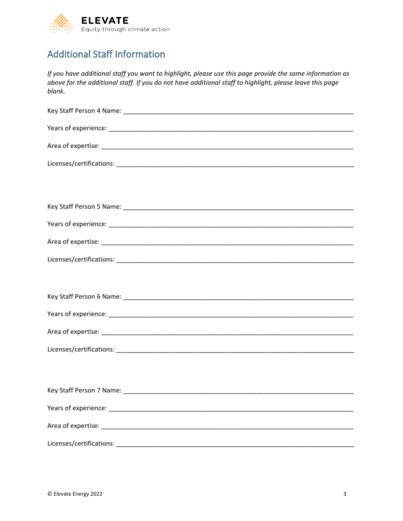

### Additional Staff Information

*If you have additional staff you want to highlight, please use this page provide the same information as above for the additional staff. If you do not have additional staff to highlight, please leave this page blank.*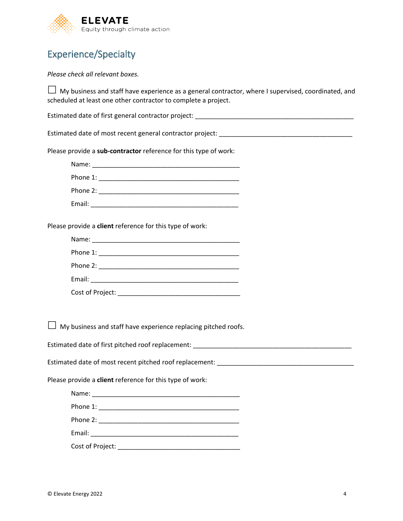

### Experience/Specialty

#### *Please check all relevant boxes.*

 $\Box$  My business and staff have experience as a general contractor, where I supervised, coordinated, and scheduled at least one other contractor to complete a project.

Estimated date of first general contractor project: \_\_\_\_\_\_\_\_\_\_\_\_\_\_\_\_\_\_\_\_\_\_\_\_\_\_\_\_

Estimated date of most recent general contractor project: \_\_\_\_\_\_\_\_\_\_\_\_\_\_\_\_\_\_\_\_\_\_\_\_\_\_\_\_\_\_\_\_\_\_\_\_\_

Please provide a **sub-contractor** reference for this type of work:

| Name:    |  |  |
|----------|--|--|
| Phone 1: |  |  |
| Phone 2: |  |  |

Email: \_\_\_\_\_\_\_\_\_\_\_\_\_\_\_\_\_\_\_\_\_\_\_\_\_\_\_\_\_\_\_\_\_\_\_\_\_\_\_\_\_

Please provide a **client** reference for this type of work:

| Name: ___________________________ |  |
|-----------------------------------|--|
|                                   |  |
|                                   |  |
|                                   |  |
| Cost of Project:                  |  |

 $\Box$  My business and staff have experience replacing pitched roofs.

Estimated date of first pitched roof replacement:

Estimated date of most recent pitched roof replacement: \_\_\_\_\_\_\_\_\_\_\_\_\_\_\_\_\_\_\_\_\_\_\_\_

Please provide a **client** reference for this type of work:

| Email: <u>Denomination of the second contract of the second contract of the second contract of the second contract of the second contract of the second contract of the second contract of the second contract of the second con</u> |
|--------------------------------------------------------------------------------------------------------------------------------------------------------------------------------------------------------------------------------------|
| Cost of Project: The Cost of Project:                                                                                                                                                                                                |
|                                                                                                                                                                                                                                      |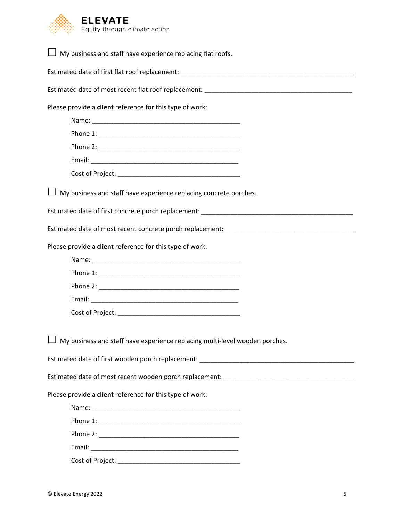

| $\Box$ My business and staff have experience replacing flat roofs.                 |
|------------------------------------------------------------------------------------|
|                                                                                    |
|                                                                                    |
| Please provide a client reference for this type of work:                           |
|                                                                                    |
|                                                                                    |
|                                                                                    |
|                                                                                    |
|                                                                                    |
| $\Box$ My business and staff have experience replacing concrete porches.           |
|                                                                                    |
|                                                                                    |
| Please provide a client reference for this type of work:                           |
|                                                                                    |
|                                                                                    |
|                                                                                    |
|                                                                                    |
|                                                                                    |
| $\Box$ My business and staff have experience replacing multi-level wooden porches. |
|                                                                                    |
|                                                                                    |
| Please provide a client reference for this type of work:                           |
|                                                                                    |
|                                                                                    |
|                                                                                    |
|                                                                                    |
|                                                                                    |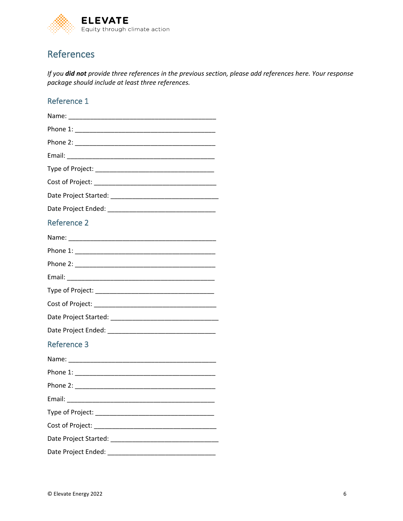

### References

*If you did not provide three references in the previous section, please add references here. Your response package should include at least three references.* 

#### Reference 1

| <b>Reference 2</b> |
|--------------------|
|                    |
|                    |
|                    |
|                    |
|                    |
|                    |
|                    |
|                    |
| <b>Reference 3</b> |
|                    |
|                    |
|                    |
|                    |
|                    |
|                    |
|                    |
|                    |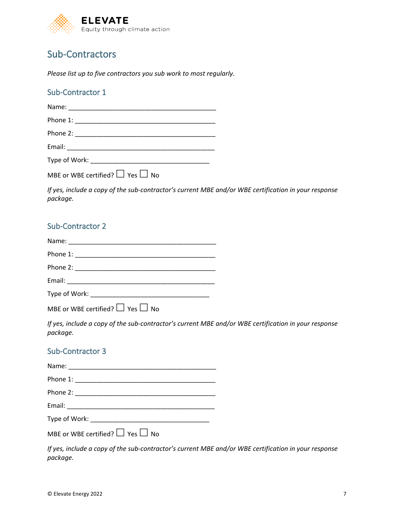

### Sub-Contractors

*Please list up to five contractors you sub work to most regularly.*

#### Sub-Contractor 1

| Type of Work: The contract of the contract of the contract of the contract of the contract of the contract of the contract of the contract of the contract of the contract of the contract of the contract of the contract of |  |  |
|-------------------------------------------------------------------------------------------------------------------------------------------------------------------------------------------------------------------------------|--|--|
|                                                                                                                                                                                                                               |  |  |

MBE or WBE certified?  $\Box$  Yes  $\Box$  No

*If yes, include a copy of the sub-contractor's current MBE and/or WBE certification in your response package.*

#### Sub-Contractor 2

| Type of Work: New York: New York: New York: New York: New York: New York: New York: New York: New York: New Yor |
|-----------------------------------------------------------------------------------------------------------------|

MBE or WBE certified?  $\Box$  Yes  $\Box$  No

*If yes, include a copy of the sub-contractor's current MBE and/or WBE certification in your response package.*

#### Sub-Contractor 3

| Type of Work: |  |
|---------------|--|

MBE or WBE certified?  $\Box$  Yes  $\Box$  No

*If yes, include a copy of the sub-contractor's current MBE and/or WBE certification in your response package.*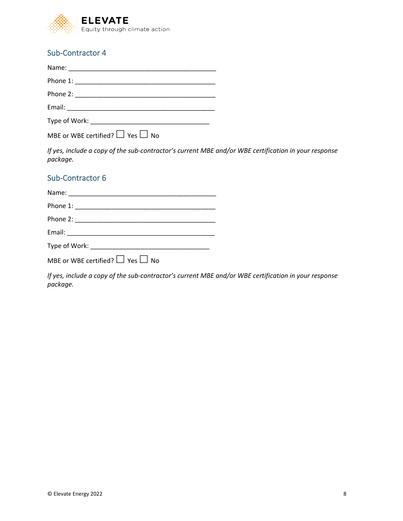

#### Sub-Contractor 4

| Type of Work: Type of Work: |
|-----------------------------|

MBE or WBE certified?  $\Box$  Yes  $\Box$  No

*If yes, include a copy of the sub-contractor's current MBE and/or WBE certification in your response package.*

#### Sub-Contractor 6

MBE or WBE certified?  $\Box$  Yes  $\Box$  No

*If yes, include a copy of the sub-contractor's current MBE and/or WBE certification in your response package.*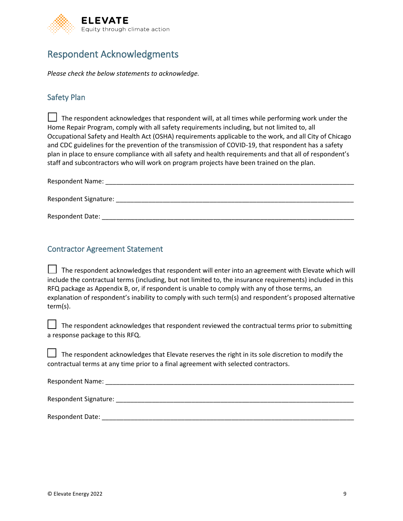

### Respondent Acknowledgments

*Please check the below statements to acknowledge.*

#### Safety Plan

 The respondent acknowledges that respondent will, at all times while performing work under the Home Repair Program, comply with all safety requirements including, but not limited to, all Occupational Safety and Health Act (OSHA) requirements applicable to the work, and all City of Chicago and CDC guidelines for the prevention of the transmission of COVID-19, that respondent has a safety plan in place to ensure compliance with all safety and health requirements and that all of respondent's staff and subcontractors who will work on program projects have been trained on the plan.

| <b>Respondent Name:</b> |  |  |
|-------------------------|--|--|
|                         |  |  |
| Respondent Signature:   |  |  |
|                         |  |  |
| <b>Respondent Date:</b> |  |  |

#### Contractor Agreement Statement

 $\Box$  The respondent acknowledges that respondent will enter into an agreement with Elevate which will include the contractual terms (including, but not limited to, the insurance requirements) included in this RFQ package as Appendix B, or, if respondent is unable to comply with any of those terms, an explanation of respondent's inability to comply with such term(s) and respondent's proposed alternative term(s).

 The respondent acknowledges that respondent reviewed the contractual terms prior to submitting a response package to this RFQ.

 The respondent acknowledges that Elevate reserves the right in its sole discretion to modify the contractual terms at any time prior to a final agreement with selected contractors.

| <b>Respondent Name:</b> |  |
|-------------------------|--|
|                         |  |

Respondent Signature: \_\_\_\_\_\_\_\_\_\_\_\_\_\_\_\_\_\_\_\_\_\_\_\_\_\_\_\_\_\_\_\_\_\_\_\_\_\_\_\_\_\_\_\_\_\_\_\_\_\_\_\_\_\_\_\_\_\_\_\_\_\_\_\_\_\_

Respondent Date:  $\blacksquare$